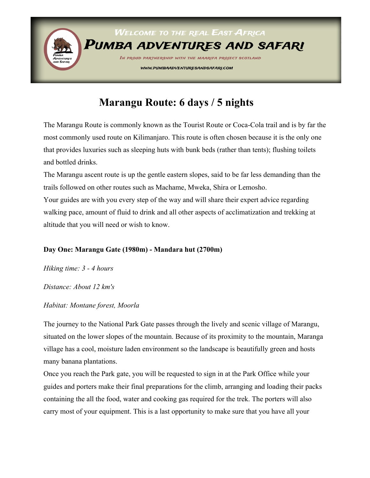

# **Marangu Route: 6 days / 5 nights**

The Marangu Route is commonly known as the Tourist Route or Coca-Cola trail and is by far the most commonly used route on Kilimanjaro. This route is often chosen because it is the only one that provides luxuries such as sleeping huts with bunk beds (rather than tents); flushing toilets and bottled drinks.

The Marangu ascent route is up the gentle eastern slopes, said to be far less demanding than the trails followed on other routes such as Machame, Mweka, Shira or Lemosho. Your guides are with you every step of the way and will share their expert advice regarding walking pace, amount of fluid to drink and all other aspects of acclimatization and trekking at altitude that you will need or wish to know.

## **Day One: Marangu Gate (1980m) - Mandara hut (2700m)**

*Hiking time: 3 - 4 hours*

#### *Distance: About 12 km's*

#### *Habitat: Montane forest, Moorla*

The journey to the National Park Gate passes through the lively and scenic village of Marangu, situated on the lower slopes of the mountain. Because of its proximity to the mountain, Maranga village has a cool, moisture laden environment so the landscape is beautifully green and hosts many banana plantations.

Once you reach the Park gate, you will be requested to sign in at the Park Office while your guides and porters make their final preparations for the climb, arranging and loading their packs containing the all the food, water and cooking gas required for the trek. The porters will also carry most of your equipment. This is a last opportunity to make sure that you have all your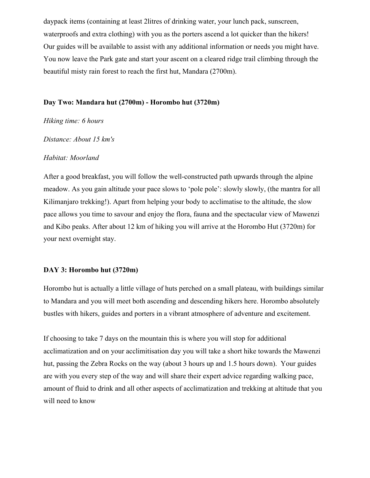daypack items (containing at least 2litres of drinking water, your lunch pack, sunscreen, waterproofs and extra clothing) with you as the porters ascend a lot quicker than the hikers! Our guides will be available to assist with any additional information or needs you might have. You now leave the Park gate and start your ascent on a cleared ridge trail climbing through the beautiful misty rain forest to reach the first hut, Mandara (2700m).

#### **Day Two: Mandara hut (2700m) - Horombo hut (3720m)**

#### *Hiking time: 6 hours*

*Distance: About 15 km's*

#### *Habitat: Moorland*

After a good breakfast, you will follow the well-constructed path upwards through the alpine meadow. As you gain altitude your pace slows to 'pole pole': slowly slowly, (the mantra for all Kilimanjaro trekking!). Apart from helping your body to acclimatise to the altitude, the slow pace allows you time to savour and enjoy the flora, fauna and the spectacular view of Mawenzi and Kibo peaks. After about 12 km of hiking you will arrive at the Horombo Hut (3720m) for your next overnight stay.

#### **DAY 3: Horombo hut (3720m)**

Horombo hut is actually a little village of huts perched on a small plateau, with buildings similar to Mandara and you will meet both ascending and descending hikers here. Horombo absolutely bustles with hikers, guides and porters in a vibrant atmosphere of adventure and excitement.

If choosing to take 7 days on the mountain this is where you will stop for additional acclimatization and on your acclimitisation day you will take a short hike towards the Mawenzi hut, passing the Zebra Rocks on the way (about 3 hours up and 1.5 hours down). Your guides are with you every step of the way and will share their expert advice regarding walking pace, amount of fluid to drink and all other aspects of acclimatization and trekking at altitude that you will need to know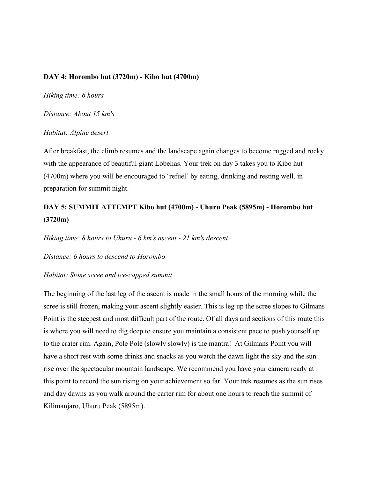#### **DAY 4: Horombo hut (3720m) - Kibo hut (4700m)**

*Hiking time: 6 hours*

*Distance: About 15 km's*

#### *Habitat: Alpine desert*

After breakfast, the climb resumes and the landscape again changes to become rugged and rocky with the appearance of beautiful giant Lobelias. Your trek on day 3 takes you to Kibo hut (4700m) where you will be encouraged to 'refuel' by eating, drinking and resting well, in preparation for summit night.

# **DAY 5: SUMMIT ATTEMPT Kibo hut (4700m) - Uhuru Peak (5895m) - Horombo hut (3720m)**

*Hiking time: 8 hours to Uhuru - 6 km's ascent - 21 km's descent*

*Distance: 6 hours to descend to Horombo*

#### *Habitat: Stone scree and ice-capped summit*

The beginning of the last leg of the ascent is made in the small hours of the morning while the scree is still frozen, making your ascent slightly easier. This is leg up the scree slopes to Gilmans Point is the steepest and most difficult part of the route. Of all days and sections of this route this is where you will need to dig deep to ensure you maintain a consistent pace to push yourself up to the crater rim. Again, Pole Pole (slowly slowly) is the mantra! At Gilmans Point you will have a short rest with some drinks and snacks as you watch the dawn light the sky and the sun rise over the spectacular mountain landscape. We recommend you have your camera ready at this point to record the sun rising on your achievement so far. Your trek resumes as the sun rises and day dawns as you walk around the carter rim for about one hours to reach the summit of Kilimanjaro, Uhuru Peak (5895m).